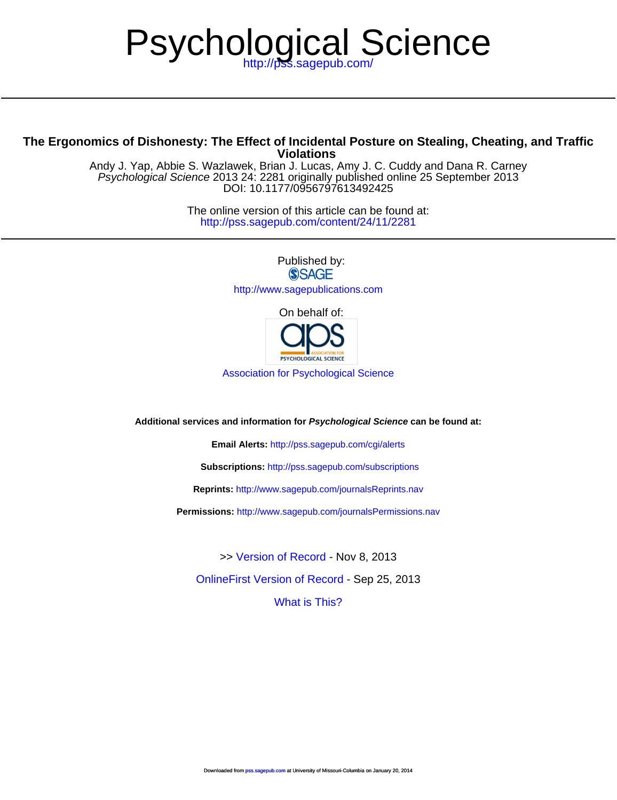# Psychological Science

# **Violations The Ergonomics of Dishonesty: The Effect of Incidental Posture on Stealing, Cheating, and Traffic**

DOI: 10.1177/0956797613492425 Psychological Science 2013 24: 2281 originally published online 25 September 2013 Andy J. Yap, Abbie S. Wazla[wek, Brian J. Lucas, Amy J. C. Cuddy a](http://www.sagepub.com/journalsReprints.nav)nd Dana R. Carney

> <http://pss.sagepub.com/content/24/11/2281> The onlin[e version of this article can be found at:](http://www.sagepub.com/journalsPermissions.nav)

> > Published by:<br>
> > SAGE <http://www.sagepublications.com>

> > > [On behalf o](http://pss.sagepub.com/content/24/11/2281.full.pdf)f:



[Association for Psychological Science](http://www.psychologicalscience.org/)

**Additional services and information for Psychological Science can be found at:**

**Email Alerts:** <http://pss.sagepub.com/cgi/alerts>

**Subscriptions:** <http://pss.sagepub.com/subscriptions>

**Reprints:** <http://www.sagepub.com/journalsReprints.nav>

**Permissions:** <http://www.sagepub.com/journalsPermissions.nav>

>> [Version of Record -](http://pss.sagepub.com/content/24/11/2281.full.pdf) Nov 8, 2013

[OnlineFirst Version of Record -](http://pss.sagepub.com/content/early/2013/09/25/0956797613492425.full.pdf) Sep 25, 2013

[What is This?](http://online.sagepub.com/site/sphelp/vorhelp.xhtml)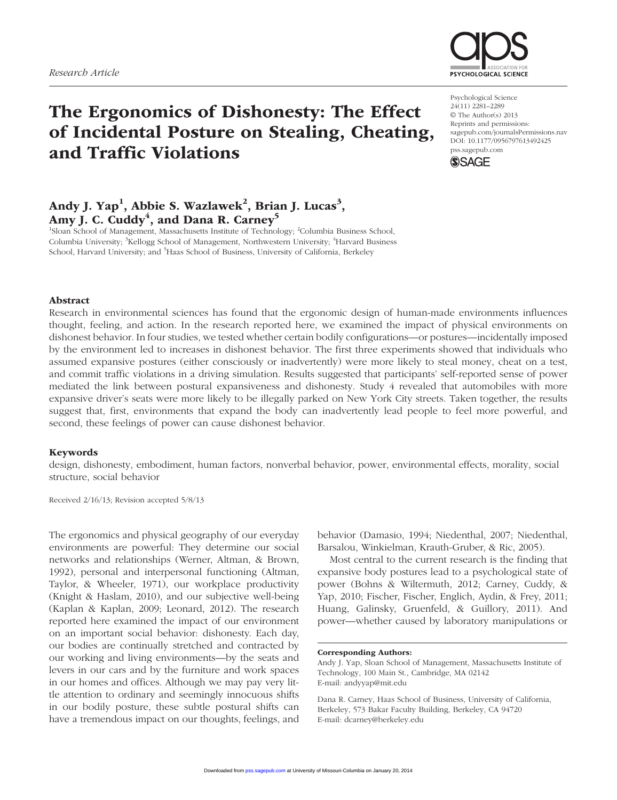

# The Ergonomics of Dishonesty: The Effect of Incidental Posture on Stealing, Cheating, and Traffic Violations

Psychological Science 24(11) 2281–2289 © The Author(s) 2013 Reprints and permissions: sagepub.com/journalsPermissions.nav DOI: 10.1177/0956797613492425 pss.sagepub.com



# Andy J. Yap<sup>1</sup>, Abbie S. Wazlawek<sup>2</sup>, Brian J. Lucas<sup>3</sup>, Amy J. C. Cuddy<sup>4</sup>, and Dana R. Carney<sup>5</sup>

<sup>1</sup>Sloan School of Management, Massachusetts Institute of Technology; <sup>2</sup>Columbia Business School, Columbia University; <sup>3</sup>Kellogg School of Management, Northwestern University; <sup>4</sup>Harvard Business School, Harvard University; and <sup>5</sup>Haas School of Business, University of California, Berkeley

#### Abstract

Research in environmental sciences has found that the ergonomic design of human-made environments influences thought, feeling, and action. In the research reported here, we examined the impact of physical environments on dishonest behavior. In four studies, we tested whether certain bodily configurations—or postures—incidentally imposed by the environment led to increases in dishonest behavior. The first three experiments showed that individuals who assumed expansive postures (either consciously or inadvertently) were more likely to steal money, cheat on a test, and commit traffic violations in a driving simulation. Results suggested that participants' self-reported sense of power mediated the link between postural expansiveness and dishonesty. Study 4 revealed that automobiles with more expansive driver's seats were more likely to be illegally parked on New York City streets. Taken together, the results suggest that, first, environments that expand the body can inadvertently lead people to feel more powerful, and second, these feelings of power can cause dishonest behavior.

#### Keywords

design, dishonesty, embodiment, human factors, nonverbal behavior, power, environmental effects, morality, social structure, social behavior

Received 2/16/13; Revision accepted 5/8/13

The ergonomics and physical geography of our everyday environments are powerful: They determine our social networks and relationships (Werner, Altman, & Brown, 1992), personal and interpersonal functioning (Altman, Taylor, & Wheeler, 1971), our workplace productivity (Knight & Haslam, 2010), and our subjective well-being (Kaplan & Kaplan, 2009; Leonard, 2012). The research reported here examined the impact of our environment on an important social behavior: dishonesty. Each day, our bodies are continually stretched and contracted by our working and living environments—by the seats and levers in our cars and by the furniture and work spaces in our homes and offices. Although we may pay very little attention to ordinary and seemingly innocuous shifts in our bodily posture, these subtle postural shifts can have a tremendous impact on our thoughts, feelings, and

behavior (Damasio, 1994; Niedenthal, 2007; Niedenthal, Barsalou, Winkielman, Krauth-Gruber, & Ric, 2005).

Most central to the current research is the finding that expansive body postures lead to a psychological state of power (Bohns & Wiltermuth, 2012; Carney, Cuddy, & Yap, 2010; Fischer, Fischer, Englich, Aydin, & Frey, 2011; Huang, Galinsky, Gruenfeld, & Guillory, 2011). And power—whether caused by laboratory manipulations or

#### Corresponding Authors:

Andy J. Yap, Sloan School of Management, Massachusetts Institute of Technology, 100 Main St., Cambridge, MA 02142 E-mail: andyyap@mit.edu

Dana R. Carney, Haas School of Business, University of California, Berkeley, 573 Bakar Faculty Building, Berkeley, CA 94720 E-mail: dcarney@berkeley.edu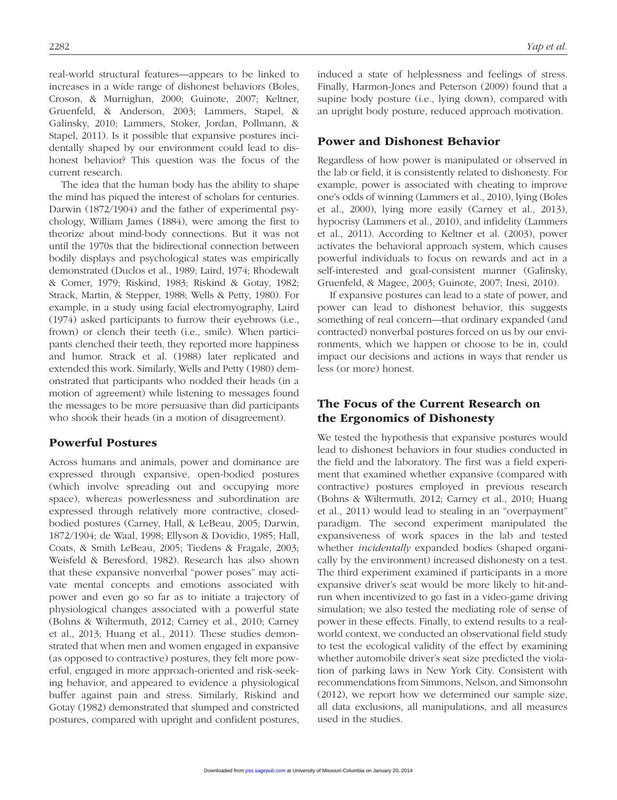real-world structural features—appears to be linked to increases in a wide range of dishonest behaviors (Boles, Croson, & Murnighan, 2000; Guinote, 2007; Keltner, Gruenfeld, & Anderson, 2003; Lammers, Stapel, & Galinsky, 2010; Lammers, Stoker, Jordan, Pollmann, & Stapel, 2011). Is it possible that expansive postures incidentally shaped by our environment could lead to dishonest behavior? This question was the focus of the current research.

The idea that the human body has the ability to shape the mind has piqued the interest of scholars for centuries. Darwin (1872/1904) and the father of experimental psychology, William James (1884), were among the first to theorize about mind-body connections. But it was not until the 1970s that the bidirectional connection between bodily displays and psychological states was empirically demonstrated (Duclos et al., 1989; Laird, 1974; Rhodewalt & Comer, 1979; Riskind, 1983; Riskind & Gotay, 1982; Strack, Martin, & Stepper, 1988; Wells & Petty, 1980). For example, in a study using facial electromyography, Laird (1974) asked participants to furrow their eyebrows (i.e., frown) or clench their teeth (i.e., smile). When participants clenched their teeth, they reported more happiness and humor. Strack et al. (1988) later replicated and extended this work. Similarly, Wells and Petty (1980) demonstrated that participants who nodded their heads (in a motion of agreement) while listening to messages found the messages to be more persuasive than did participants who shook their heads (in a motion of disagreement).

#### Powerful Postures

Across humans and animals, power and dominance are expressed through expansive, open-bodied postures (which involve spreading out and occupying more space), whereas powerlessness and subordination are expressed through relatively more contractive, closedbodied postures (Carney, Hall, & LeBeau, 2005; Darwin, 1872/1904; de Waal, 1998; Ellyson & Dovidio, 1985; Hall, Coats, & Smith LeBeau, 2005; Tiedens & Fragale, 2003; Weisfeld & Beresford, 1982). Research has also shown that these expansive nonverbal "power poses" may activate mental concepts and emotions associated with power and even go so far as to initiate a trajectory of physiological changes associated with a powerful state (Bohns & Wiltermuth, 2012; Carney et al., 2010; Carney et al., 2013; Huang et al., 2011). These studies demonstrated that when men and women engaged in expansive (as opposed to contractive) postures, they felt more powerful, engaged in more approach-oriented and risk-seeking behavior, and appeared to evidence a physiological buffer against pain and stress. Similarly, Riskind and Gotay (1982) demonstrated that slumped and constricted postures, compared with upright and confident postures, induced a state of helplessness and feelings of stress. Finally, Harmon-Jones and Peterson (2009) found that a supine body posture (i.e., lying down), compared with an upright body posture, reduced approach motivation.

#### Power and Dishonest Behavior

Regardless of how power is manipulated or observed in the lab or field, it is consistently related to dishonesty. For example, power is associated with cheating to improve one's odds of winning (Lammers et al., 2010), lying (Boles et al., 2000), lying more easily (Carney et al., 2013), hypocrisy (Lammers et al., 2010), and infidelity (Lammers et al., 2011). According to Keltner et al. (2003), power activates the behavioral approach system, which causes powerful individuals to focus on rewards and act in a self-interested and goal-consistent manner (Galinsky, Gruenfeld, & Magee, 2003; Guinote, 2007; Inesi, 2010).

If expansive postures can lead to a state of power, and power can lead to dishonest behavior, this suggests something of real concern—that ordinary expanded (and contracted) nonverbal postures forced on us by our environments, which we happen or choose to be in, could impact our decisions and actions in ways that render us less (or more) honest.

# The Focus of the Current Research on the Ergonomics of Dishonesty

We tested the hypothesis that expansive postures would lead to dishonest behaviors in four studies conducted in the field and the laboratory. The first was a field experiment that examined whether expansive (compared with contractive) postures employed in previous research (Bohns & Wiltermuth, 2012; Carney et al., 2010; Huang et al., 2011) would lead to stealing in an "overpayment" paradigm. The second experiment manipulated the expansiveness of work spaces in the lab and tested whether *incidentally* expanded bodies (shaped organically by the environment) increased dishonesty on a test. The third experiment examined if participants in a more expansive driver's seat would be more likely to hit-andrun when incentivized to go fast in a video-game driving simulation; we also tested the mediating role of sense of power in these effects. Finally, to extend results to a realworld context, we conducted an observational field study to test the ecological validity of the effect by examining whether automobile driver's seat size predicted the violation of parking laws in New York City. Consistent with recommendations from Simmons, Nelson, and Simonsohn (2012), we report how we determined our sample size, all data exclusions, all manipulations, and all measures used in the studies.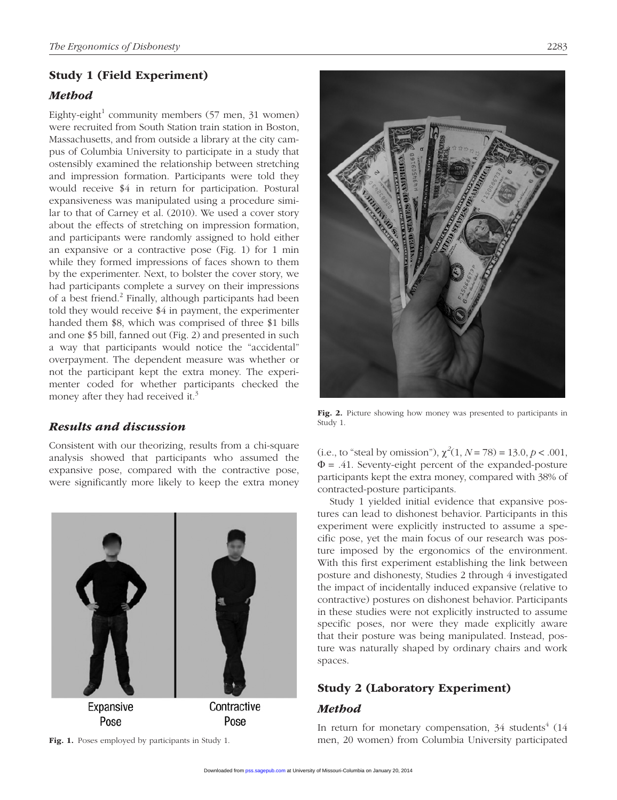# Study 1 (Field Experiment)

# *Method*

Eighty-eight<sup>1</sup> community members  $(57 \text{ men}, 31 \text{ women})$ were recruited from South Station train station in Boston, Massachusetts, and from outside a library at the city campus of Columbia University to participate in a study that ostensibly examined the relationship between stretching and impression formation. Participants were told they would receive \$4 in return for participation. Postural expansiveness was manipulated using a procedure similar to that of Carney et al. (2010). We used a cover story about the effects of stretching on impression formation, and participants were randomly assigned to hold either an expansive or a contractive pose (Fig. 1) for 1 min while they formed impressions of faces shown to them by the experimenter. Next, to bolster the cover story, we had participants complete a survey on their impressions of a best friend.<sup>2</sup> Finally, although participants had been told they would receive \$4 in payment, the experimenter handed them \$8, which was comprised of three \$1 bills and one \$5 bill, fanned out (Fig. 2) and presented in such a way that participants would notice the "accidental" overpayment. The dependent measure was whether or not the participant kept the extra money. The experimenter coded for whether participants checked the money after they had received it.<sup>3</sup>

# *Results and discussion*

Consistent with our theorizing, results from a chi-square analysis showed that participants who assumed the expansive pose, compared with the contractive pose, were significantly more likely to keep the extra money







Fig. 2. Picture showing how money was presented to participants in Study 1.

(i.e., to "steal by omission"),  $\chi^2(1, N = 78) = 13.0, p < .001$ ,  $\Phi$  = .41. Seventy-eight percent of the expanded-posture participants kept the extra money, compared with 38% of contracted-posture participants.

Study 1 yielded initial evidence that expansive postures can lead to dishonest behavior. Participants in this experiment were explicitly instructed to assume a specific pose, yet the main focus of our research was posture imposed by the ergonomics of the environment. With this first experiment establishing the link between posture and dishonesty, Studies 2 through 4 investigated the impact of incidentally induced expansive (relative to contractive) postures on dishonest behavior. Participants in these studies were not explicitly instructed to assume specific poses, nor were they made explicitly aware that their posture was being manipulated. Instead, posture was naturally shaped by ordinary chairs and work spaces.

# Study 2 (Laboratory Experiment)

#### *Method*

In return for monetary compensation,  $34$  students<sup>4</sup> (14 Fig. 1. Poses employed by participants in Study 1. [men, 20 w](http://pss.sagepub.com/)omen) from Columbia University participated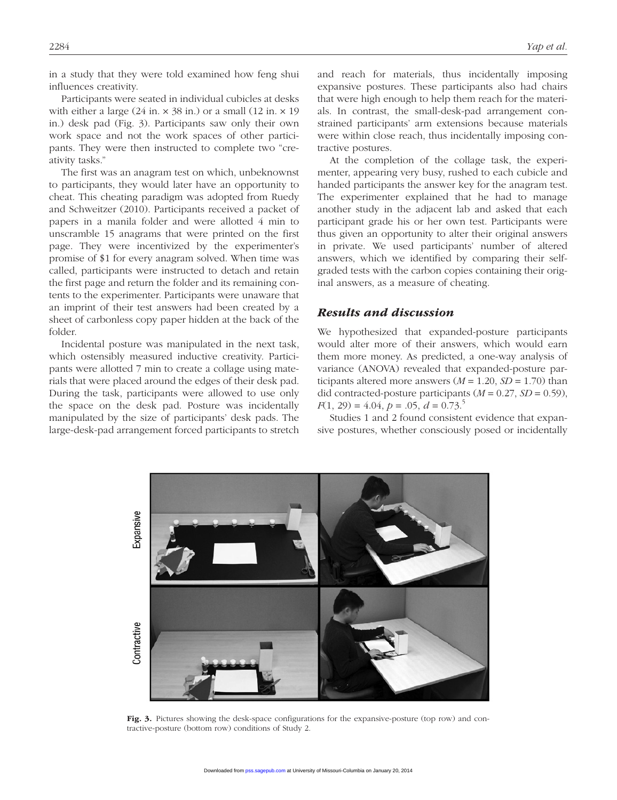in a study that they were told examined how feng shui influences creativity.

Participants were seated in individual cubicles at desks with either a large  $(24 \text{ in.} \times 38 \text{ in.})$  or a small  $(12 \text{ in.} \times 19 \text{ in.})$ in.) desk pad (Fig. 3). Participants saw only their own work space and not the work spaces of other participants. They were then instructed to complete two "creativity tasks."

The first was an anagram test on which, unbeknownst to participants, they would later have an opportunity to cheat. This cheating paradigm was adopted from Ruedy and Schweitzer (2010). Participants received a packet of papers in a manila folder and were allotted 4 min to unscramble 15 anagrams that were printed on the first page. They were incentivized by the experimenter's promise of \$1 for every anagram solved. When time was called, participants were instructed to detach and retain the first page and return the folder and its remaining contents to the experimenter. Participants were unaware that an imprint of their test answers had been created by a sheet of carbonless copy paper hidden at the back of the folder.

Incidental posture was manipulated in the next task, which ostensibly measured inductive creativity. Participants were allotted 7 min to create a collage using materials that were placed around the edges of their desk pad. During the task, participants were allowed to use only the space on the desk pad. Posture was incidentally manipulated by the size of participants' desk pads. The large-desk-pad arrangement forced participants to stretch and reach for materials, thus incidentally imposing expansive postures. These participants also had chairs that were high enough to help them reach for the materials. In contrast, the small-desk-pad arrangement constrained participants' arm extensions because materials were within close reach, thus incidentally imposing contractive postures.

At the completion of the collage task, the experimenter, appearing very busy, rushed to each cubicle and handed participants the answer key for the anagram test. The experimenter explained that he had to manage another study in the adjacent lab and asked that each participant grade his or her own test. Participants were thus given an opportunity to alter their original answers in private. We used participants' number of altered answers, which we identified by comparing their selfgraded tests with the carbon copies containing their original answers, as a measure of cheating.

# *Results and discussion*

We hypothesized that expanded-posture participants would alter more of their answers, which would earn them more money. As predicted, a one-way analysis of variance (ANOVA) revealed that expanded-posture participants altered more answers  $(M = 1.20, SD = 1.70)$  than did contracted-posture participants  $(M = 0.27, SD = 0.59)$ ,  $F(1, 29) = 4.04, p = .05, d = 0.73.<sup>5</sup>$ 

Studies 1 and 2 found consistent evidence that expansive postures, whether consciously posed or incidentally



Fig. 3. Pictures showing the desk-space configurations for the expansive-posture (top row) and contractive-posture (bottom row) conditions of Study 2.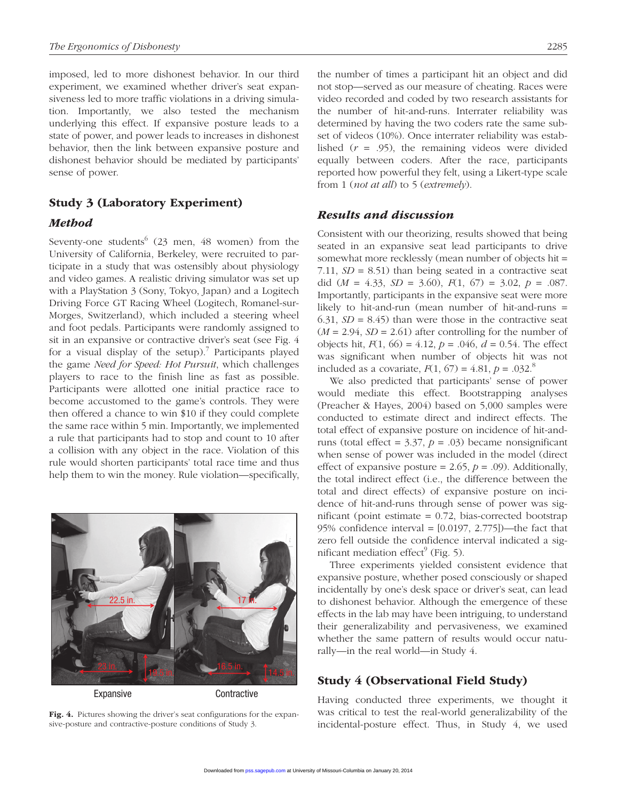imposed, led to more dishonest behavior. In our third experiment, we examined whether driver's seat expansiveness led to more traffic violations in a driving simulation. Importantly, we also tested the mechanism underlying this effect. If expansive posture leads to a state of power, and power leads to increases in dishonest behavior, then the link between expansive posture and dishonest behavior should be mediated by participants' sense of power.

#### Study 3 (Laboratory Experiment)

#### *Method*

Seventy-one students $^6$  (23 men, 48 women) from the University of California, Berkeley, were recruited to participate in a study that was ostensibly about physiology and video games. A realistic driving simulator was set up with a PlayStation 3 (Sony, Tokyo, Japan) and a Logitech Driving Force GT Racing Wheel (Logitech, Romanel-sur-Morges, Switzerland), which included a steering wheel and foot pedals. Participants were randomly assigned to sit in an expansive or contractive driver's seat (see Fig. 4 for a visual display of the setup).<sup>7</sup> Participants played the game *Need for Speed: Hot Pursuit*, which challenges players to race to the finish line as fast as possible. Participants were allotted one initial practice race to become accustomed to the game's controls. They were then offered a chance to win \$10 if they could complete the same race within 5 min. Importantly, we implemented a rule that participants had to stop and count to 10 after a collision with any object in the race. Violation of this rule would shorten participants' total race time and thus help them to win the money. Rule violation—specifically,



Fig. 4. Pictures showing the driver's seat configurations for the expansive-posture and contractive-posture conditions of Study 3.

the number of times a participant hit an object and did not stop—served as our measure of cheating. Races were video recorded and coded by two research assistants for the number of hit-and-runs. Interrater reliability was determined by having the two coders rate the same subset of videos (10%). Once interrater reliability was established  $(r = .95)$ , the remaining videos were divided equally between coders. After the race, participants reported how powerful they felt, using a Likert-type scale from 1 (*not at all*) to 5 (*extremely*).

#### *Results and discussion*

Consistent with our theorizing, results showed that being seated in an expansive seat lead participants to drive somewhat more recklessly (mean number of objects hit = 7.11,  $SD = 8.51$ ) than being seated in a contractive seat did ( $M = 4.33$ ,  $SD = 3.60$ ),  $F(1, 67) = 3.02$ ,  $p = .087$ . Importantly, participants in the expansive seat were more likely to hit-and-run (mean number of hit-and-runs = 6.31,  $SD = 8.45$ ) than were those in the contractive seat  $(M = 2.94, SD = 2.61)$  after controlling for the number of objects hit,  $F(1, 66) = 4.12$ ,  $p = .046$ ,  $d = 0.54$ . The effect was significant when number of objects hit was not included as a covariate,  $F(1, 67) = 4.81, p = .032$ .<sup>8</sup>

We also predicted that participants' sense of power would mediate this effect. Bootstrapping analyses (Preacher & Hayes, 2004) based on 5,000 samples were conducted to estimate direct and indirect effects. The total effect of expansive posture on incidence of hit-andruns (total effect =  $3.37$ ,  $p = .03$ ) became nonsignificant when sense of power was included in the model (direct effect of expansive posture  $= 2.65$ ,  $p = .09$ ). Additionally, the total indirect effect (i.e., the difference between the total and direct effects) of expansive posture on incidence of hit-and-runs through sense of power was significant (point estimate = 0.72, bias-corrected bootstrap 95% confidence interval  $=[0.0197, 2.775]$  -the fact that zero fell outside the confidence interval indicated a significant mediation effect $9$  (Fig. 5).

Three experiments yielded consistent evidence that expansive posture, whether posed consciously or shaped incidentally by one's desk space or driver's seat, can lead to dishonest behavior. Although the emergence of these effects in the lab may have been intriguing, to understand their generalizability and pervasiveness, we examined whether the same pattern of results would occur naturally—in the real world—in Study 4.

#### Study 4 (Observational Field Study)

Having conducted three experiments, we thought it was critical to test the real-world generalizability of the incidental-posture effect. Thus, in Study 4, we used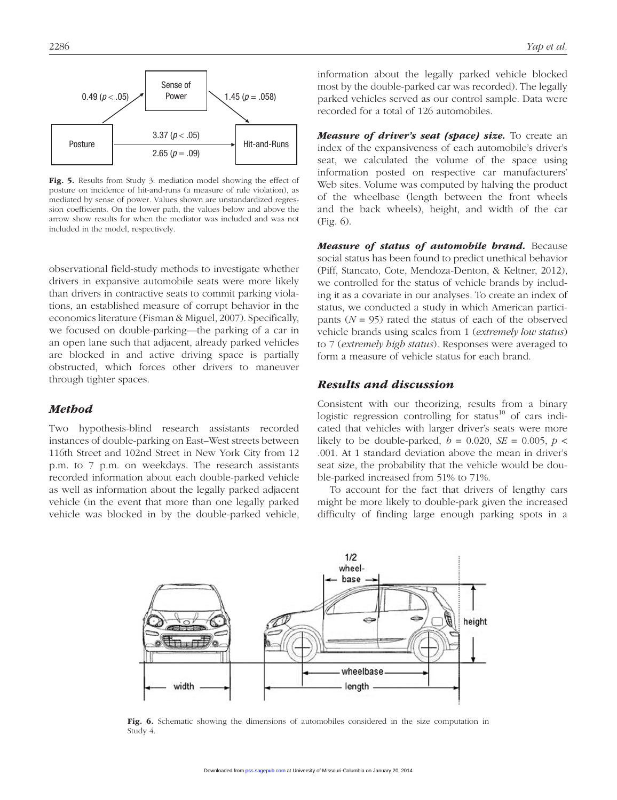

Fig. 5. Results from Study 3: mediation model showing the effect of posture on incidence of hit-and-runs (a measure of rule violation), as mediated by sense of power. Values shown are unstandardized regression coefficients. On the lower path, the values below and above the arrow show results for when the mediator was included and was not included in the model, respectively.

observational field-study methods to investigate whether drivers in expansive automobile seats were more likely than drivers in contractive seats to commit parking violations, an established measure of corrupt behavior in the economics literature (Fisman & Miguel, 2007). Specifically, we focused on double-parking—the parking of a car in an open lane such that adjacent, already parked vehicles are blocked in and active driving space is partially obstructed, which forces other drivers to maneuver through tighter spaces.

#### *Method*

Two hypothesis-blind research assistants recorded instances of double-parking on East–West streets between 116th Street and 102nd Street in New York City from 12 p.m. to 7 p.m. on weekdays. The research assistants recorded information about each double-parked vehicle as well as information about the legally parked adjacent vehicle (in the event that more than one legally parked vehicle was blocked in by the double-parked vehicle, information about the legally parked vehicle blocked most by the double-parked car was recorded). The legally parked vehicles served as our control sample. Data were recorded for a total of 126 automobiles.

*Measure of driver's seat (space) size.* To create an index of the expansiveness of each automobile's driver's seat, we calculated the volume of the space using information posted on respective car manufacturers' Web sites. Volume was computed by halving the product of the wheelbase (length between the front wheels and the back wheels), height, and width of the car (Fig. 6).

*Measure of status of automobile brand.* Because social status has been found to predict unethical behavior (Piff, Stancato, Cote, Mendoza-Denton, & Keltner, 2012), we controlled for the status of vehicle brands by including it as a covariate in our analyses. To create an index of status, we conducted a study in which American participants  $(N = 95)$  rated the status of each of the observed vehicle brands using scales from 1 (*extremely low status*) to 7 (*extremely high status*). Responses were averaged to form a measure of vehicle status for each brand.

# *Results and discussion*

Consistent with our theorizing, results from a binary logistic regression controlling for status $^{10}$  of cars indicated that vehicles with larger driver's seats were more likely to be double-parked,  $b = 0.020$ ,  $SE = 0.005$ ,  $p <$ .001. At 1 standard deviation above the mean in driver's seat size, the probability that the vehicle would be double-parked increased from 51% to 71%.

To account for the fact that drivers of lengthy cars might be more likely to double-park given the increased difficulty of finding large enough parking spots in a



Fig. 6. Schematic showing the dimensions of automobiles considered in the size computation in Study 4.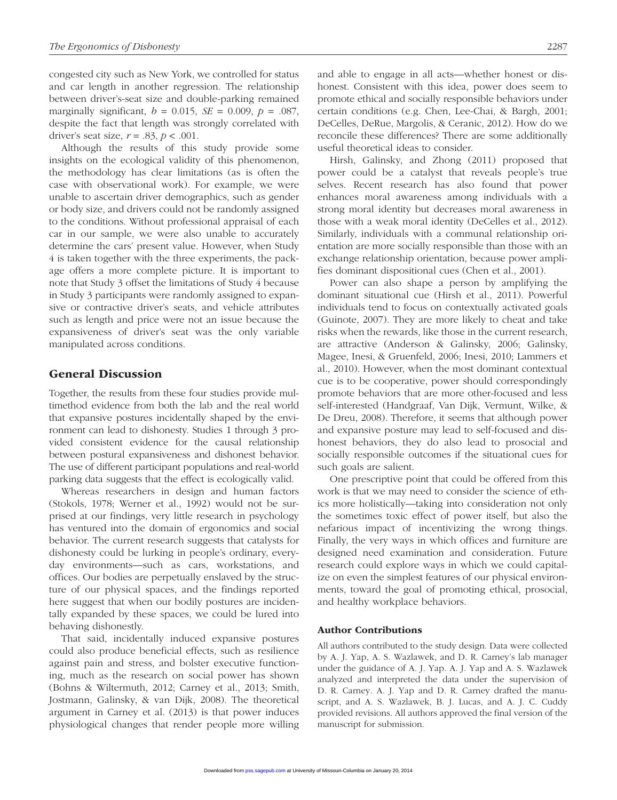congested city such as New York, we controlled for status and car length in another regression. The relationship between driver's-seat size and double-parking remained marginally significant,  $b = 0.015$ ,  $SE = 0.009$ ,  $p = .087$ , despite the fact that length was strongly correlated with driver's seat size, *r* = .83, *p* < .001.

Although the results of this study provide some insights on the ecological validity of this phenomenon, the methodology has clear limitations (as is often the case with observational work). For example, we were unable to ascertain driver demographics, such as gender or body size, and drivers could not be randomly assigned to the conditions. Without professional appraisal of each car in our sample, we were also unable to accurately determine the cars' present value. However, when Study 4 is taken together with the three experiments, the package offers a more complete picture. It is important to note that Study 3 offset the limitations of Study 4 because in Study 3 participants were randomly assigned to expansive or contractive driver's seats, and vehicle attributes such as length and price were not an issue because the expansiveness of driver's seat was the only variable manipulated across conditions.

### General Discussion

Together, the results from these four studies provide multimethod evidence from both the lab and the real world that expansive postures incidentally shaped by the environment can lead to dishonesty. Studies 1 through 3 provided consistent evidence for the causal relationship between postural expansiveness and dishonest behavior. The use of different participant populations and real-world parking data suggests that the effect is ecologically valid.

Whereas researchers in design and human factors (Stokols, 1978; Werner et al., 1992) would not be surprised at our findings, very little research in psychology has ventured into the domain of ergonomics and social behavior. The current research suggests that catalysts for dishonesty could be lurking in people's ordinary, everyday environments—such as cars, workstations, and offices. Our bodies are perpetually enslaved by the structure of our physical spaces, and the findings reported here suggest that when our bodily postures are incidentally expanded by these spaces, we could be lured into behaving dishonestly.

That said, incidentally induced expansive postures could also produce beneficial effects, such as resilience against pain and stress, and bolster executive functioning, much as the research on social power has shown (Bohns & Wiltermuth, 2012; Carney et al., 2013; Smith, Jostmann, Galinsky, & van Dijk, 2008). The theoretical argument in Carney et al. (2013) is that power induces physiological changes that render people more willing and able to engage in all acts—whether honest or dishonest. Consistent with this idea, power does seem to promote ethical and socially responsible behaviors under certain conditions (e.g. Chen, Lee-Chai, & Bargh, 2001; DeCelles, DeRue, Margolis, & Ceranic, 2012). How do we reconcile these differences? There are some additionally useful theoretical ideas to consider.

Hirsh, Galinsky, and Zhong (2011) proposed that power could be a catalyst that reveals people's true selves. Recent research has also found that power enhances moral awareness among individuals with a strong moral identity but decreases moral awareness in those with a weak moral identity (DeCelles et al., 2012). Similarly, individuals with a communal relationship orientation are more socially responsible than those with an exchange relationship orientation, because power amplifies dominant dispositional cues (Chen et al., 2001).

Power can also shape a person by amplifying the dominant situational cue (Hirsh et al., 2011). Powerful individuals tend to focus on contextually activated goals (Guinote, 2007). They are more likely to cheat and take risks when the rewards, like those in the current research, are attractive (Anderson & Galinsky, 2006; Galinsky, Magee, Inesi, & Gruenfeld, 2006; Inesi, 2010; Lammers et al., 2010). However, when the most dominant contextual cue is to be cooperative, power should correspondingly promote behaviors that are more other-focused and less self-interested (Handgraaf, Van Dijk, Vermunt, Wilke, & De Dreu, 2008). Therefore, it seems that although power and expansive posture may lead to self-focused and dishonest behaviors, they do also lead to prosocial and socially responsible outcomes if the situational cues for such goals are salient.

One prescriptive point that could be offered from this work is that we may need to consider the science of ethics more holistically—taking into consideration not only the sometimes toxic effect of power itself, but also the nefarious impact of incentivizing the wrong things. Finally, the very ways in which offices and furniture are designed need examination and consideration. Future research could explore ways in which we could capitalize on even the simplest features of our physical environments, toward the goal of promoting ethical, prosocial, and healthy workplace behaviors.

#### Author Contributions

All authors contributed to the study design. Data were collected by A. J. Yap, A. S. Wazlawek, and D. R. Carney's lab manager under the guidance of A. J. Yap. A. J. Yap and A. S. Wazlawek analyzed and interpreted the data under the supervision of D. R. Carney. A. J. Yap and D. R. Carney drafted the manuscript, and A. S. Wazlawek, B. J. Lucas, and A. J. C. Cuddy provided revisions. All authors approved the final version of the manuscript for submission.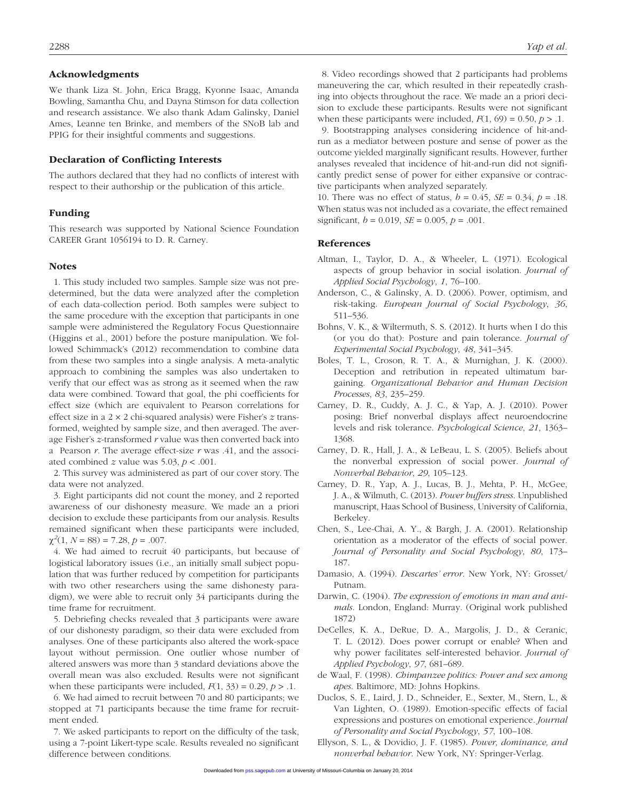#### Acknowledgments

We thank Liza St. John, Erica Bragg, Kyonne Isaac, Amanda Bowling, Samantha Chu, and Dayna Stimson for data collection and research assistance. We also thank Adam Galinsky, Daniel Ames, Leanne ten Brinke, and members of the SNoB lab and PPIG for their insightful comments and suggestions.

#### Declaration of Conflicting Interests

The authors declared that they had no conflicts of interest with respect to their authorship or the publication of this article.

#### Funding

This research was supported by National Science Foundation CAREER Grant 1056194 to D. R. Carney.

#### **Notes**

1. This study included two samples. Sample size was not predetermined, but the data were analyzed after the completion of each data-collection period. Both samples were subject to the same procedure with the exception that participants in one sample were administered the Regulatory Focus Questionnaire (Higgins et al., 2001) before the posture manipulation. We followed Schimmack's (2012) recommendation to combine data from these two samples into a single analysis. A meta-analytic approach to combining the samples was also undertaken to verify that our effect was as strong as it seemed when the raw data were combined. Toward that goal, the phi coefficients for effect size (which are equivalent to Pearson correlations for effect size in a 2 × 2 chi-squared analysis) were Fisher's *z* transformed, weighted by sample size, and then averaged. The average Fisher's *z*-transformed *r* value was then converted back into a Pearson *r*. The average effect-size *r* was .41, and the associated combined  $z$  value was 5.03,  $p < .001$ .

2. This survey was administered as part of our cover story. The data were not analyzed.

3. Eight participants did not count the money, and 2 reported awareness of our dishonesty measure. We made an a priori decision to exclude these participants from our analysis. Results remained significant when these participants were included,  $\chi^2(1, N = 88) = 7.28, p = .007.$ 

4. We had aimed to recruit 40 participants, but because of logistical laboratory issues (i.e., an initially small subject population that was further reduced by competition for participants with two other researchers using the same dishonesty paradigm), we were able to recruit only 34 participants during the time frame for recruitment.

5. Debriefing checks revealed that 3 participants were aware of our dishonesty paradigm, so their data were excluded from analyses. One of these participants also altered the work-space layout without permission. One outlier whose number of altered answers was more than 3 standard deviations above the overall mean was also excluded. Results were not significant when these participants were included,  $F(1, 33) = 0.29$ ,  $p > 0.1$ .

6. We had aimed to recruit between 70 and 80 participants; we stopped at 71 participants because the time frame for recruitment ended.

7. We asked participants to report on the difficulty of the task, using a 7-point Likert-type scale. Results revealed no significant difference between conditions.

8. Video recordings showed that 2 participants had problems maneuvering the car, which resulted in their repeatedly crashing into objects throughout the race. We made an a priori decision to exclude these participants. Results were not significant when these participants were included,  $F(1, 69) = 0.50, p > 0.1$ .

9. Bootstrapping analyses considering incidence of hit-andrun as a mediator between posture and sense of power as the outcome yielded marginally significant results. However, further analyses revealed that incidence of hit-and-run did not significantly predict sense of power for either expansive or contractive participants when analyzed separately.

10. There was no effect of status, *b* = 0.45, *SE* = 0.34, *p =* .18. When status was not included as a covariate, the effect remained significant,  $b = 0.019$ ,  $SE = 0.005$ ,  $p = .001$ .

#### References

- Altman, I., Taylor, D. A., & Wheeler, L. (1971). Ecological aspects of group behavior in social isolation. *Journal of Applied Social Psychology*, *1*, 76–100.
- Anderson, C., & Galinsky, A. D. (2006). Power, optimism, and risk-taking. *European Journal of Social Psychology*, *36*, 511–536.
- Bohns, V. K., & Wiltermuth, S. S. (2012). It hurts when I do this (or you do that): Posture and pain tolerance. *Journal of Experimental Social Psychology*, *48*, 341–345.
- Boles, T. L., Croson, R. T. A., & Murnighan, J. K. (2000). Deception and retribution in repeated ultimatum bargaining. *Organizational Behavior and Human Decision Processes*, *83*, 235–259.
- Carney, D. R., Cuddy, A. J. C., & Yap, A. J. (2010). Power posing: Brief nonverbal displays affect neuroendocrine levels and risk tolerance. *Psychological Science*, *21*, 1363– 1368.
- Carney, D. R., Hall, J. A., & LeBeau, L. S. (2005). Beliefs about the nonverbal expression of social power. *Journal of Nonverbal Behavior*, *29*, 105–123.
- Carney, D. R., Yap, A. J., Lucas, B. J., Mehta, P. H., McGee, J. A., & Wilmuth, C. (2013). *Power buffers stress*. Unpublished manuscript, Haas School of Business, University of California, Berkeley.
- Chen, S., Lee-Chai, A. Y., & Bargh, J. A. (2001). Relationship orientation as a moderator of the effects of social power. *Journal of Personality and Social Psychology*, *80*, 173– 187.
- Damasio, A. (1994). *Descartes' error*. New York, NY: Grosset/ Putnam.
- Darwin, C. (1904). *The expression of emotions in man and animals*. London, England: Murray. (Original work published 1872)
- DeCelles, K. A., DeRue, D. A., Margolis, J. D., & Ceranic, T. L. (2012). Does power corrupt or enable? When and why power facilitates self-interested behavior. *Journal of Applied Psychology*, *97*, 681–689.
- de Waal, F. (1998). *Chimpanzee politics: Power and sex among apes*. Baltimore, MD: Johns Hopkins.
- Duclos, S. E., Laird, J. D., Schneider, E., Sexter, M., Stern, L., & Van Lighten, O. (1989). Emotion-specific effects of facial expressions and postures on emotional experience. *Journal of Personality and Social Psychology*, *57*, 100–108.
- [Ellyson, S.](http://pss.sagepub.com/) L., & Dovidio, J. F. (1985). *Power, dominance, and nonverbal behavior*. New York, NY: Springer-Verlag.